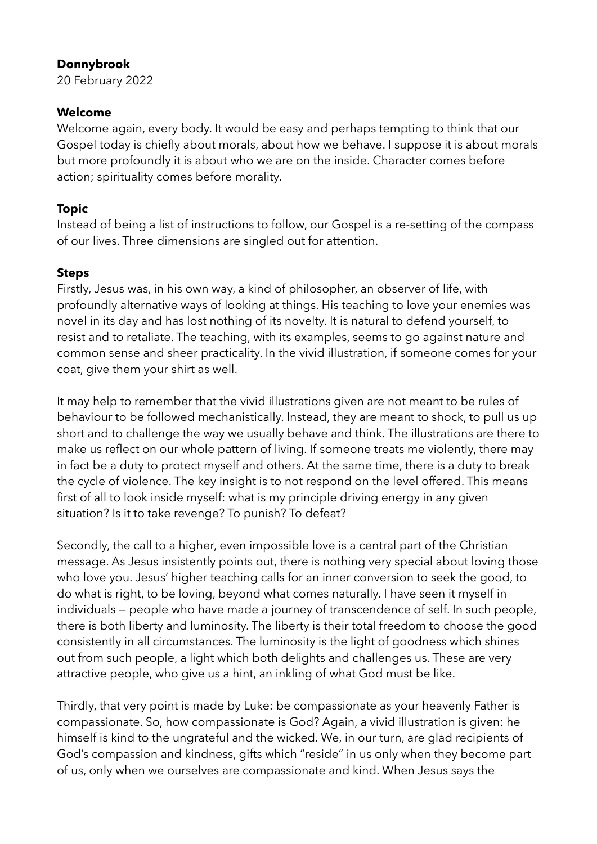### **Donnybrook**

20 February 2022

### **Welcome**

Welcome again, every body. It would be easy and perhaps tempting to think that our Gospel today is chiefly about morals, about how we behave. I suppose it is about morals but more profoundly it is about who we are on the inside. Character comes before action; spirituality comes before morality.

# **Topic**

Instead of being a list of instructions to follow, our Gospel is a re-setting of the compass of our lives. Three dimensions are singled out for attention.

## **Steps**

Firstly, Jesus was, in his own way, a kind of philosopher, an observer of life, with profoundly alternative ways of looking at things. His teaching to love your enemies was novel in its day and has lost nothing of its novelty. It is natural to defend yourself, to resist and to retaliate. The teaching, with its examples, seems to go against nature and common sense and sheer practicality. In the vivid illustration, if someone comes for your coat, give them your shirt as well.

It may help to remember that the vivid illustrations given are not meant to be rules of behaviour to be followed mechanistically. Instead, they are meant to shock, to pull us up short and to challenge the way we usually behave and think. The illustrations are there to make us reflect on our whole pattern of living. If someone treats me violently, there may in fact be a duty to protect myself and others. At the same time, there is a duty to break the cycle of violence. The key insight is to not respond on the level offered. This means first of all to look inside myself: what is my principle driving energy in any given situation? Is it to take revenge? To punish? To defeat?

Secondly, the call to a higher, even impossible love is a central part of the Christian message. As Jesus insistently points out, there is nothing very special about loving those who love you. Jesus' higher teaching calls for an inner conversion to seek the good, to do what is right, to be loving, beyond what comes naturally. I have seen it myself in individuals — people who have made a journey of transcendence of self. In such people, there is both liberty and luminosity. The liberty is their total freedom to choose the good consistently in all circumstances. The luminosity is the light of goodness which shines out from such people, a light which both delights and challenges us. These are very attractive people, who give us a hint, an inkling of what God must be like.

Thirdly, that very point is made by Luke: be compassionate as your heavenly Father is compassionate. So, how compassionate is God? Again, a vivid illustration is given: he himself is kind to the ungrateful and the wicked. We, in our turn, are glad recipients of God's compassion and kindness, gifts which "reside" in us only when they become part of us, only when we ourselves are compassionate and kind. When Jesus says the